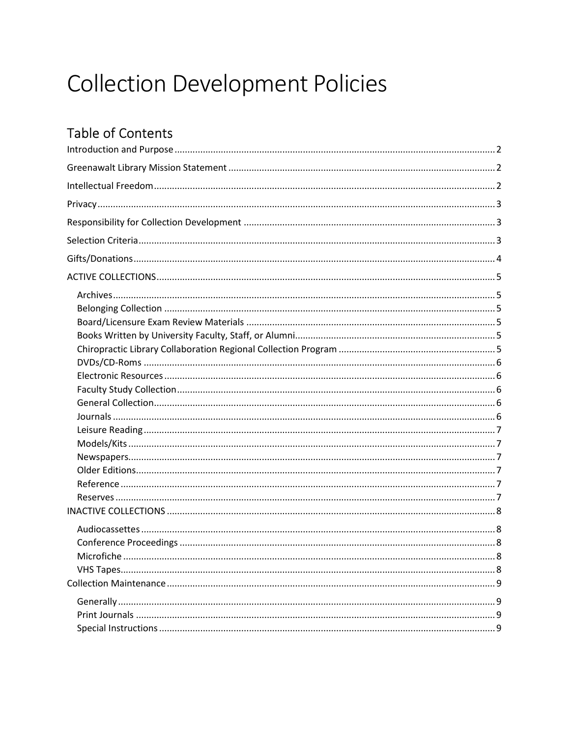# **Collection Development Policies**

# **Table of Contents**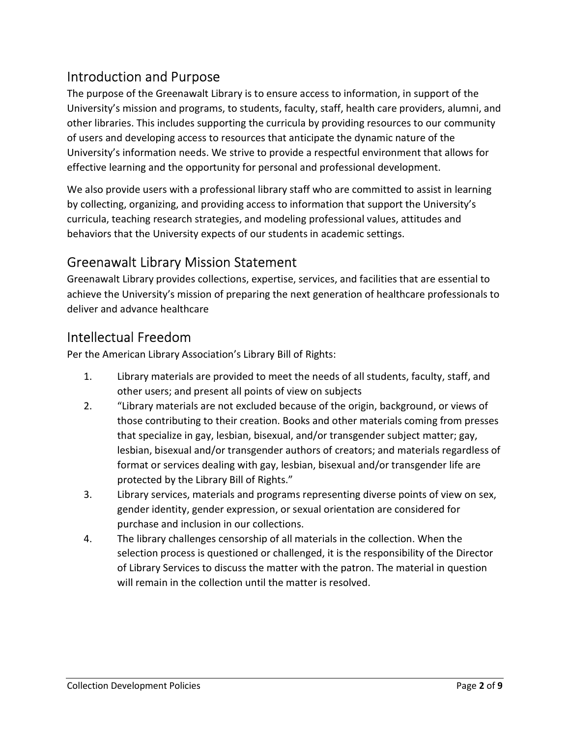## Introduction and Purpose

The purpose of the Greenawalt Library is to ensure access to information, in support of the University's mission and programs, to students, faculty, staff, health care providers, alumni, and other libraries. This includes supporting the curricula by providing resources to our community of users and developing access to resources that anticipate the dynamic nature of the University's information needs. We strive to provide a respectful environment that allows for effective learning and the opportunity for personal and professional development.

We also provide users with a professional library staff who are committed to assist in learning by collecting, organizing, and providing access to information that support the University's curricula, teaching research strategies, and modeling professional values, attitudes and behaviors that the University expects of our students in academic settings.

## Greenawalt Library Mission Statement

Greenawalt Library provides collections, expertise, services, and facilities that are essential to achieve the University's mission of preparing the next generation of healthcare professionals to deliver and advance healthcare

## Intellectual Freedom

Per the American Library Association's Library Bill of Rights:

- 1. Library materials are provided to meet the needs of all students, faculty, staff, and other users; and present all points of view on subjects
- 2. "Library materials are not excluded because of the origin, background, or views of those contributing to their creation. Books and other materials coming from presses that specialize in gay, lesbian, bisexual, and/or transgender subject matter; gay, lesbian, bisexual and/or transgender authors of creators; and materials regardless of format or services dealing with gay, lesbian, bisexual and/or transgender life are protected by the Library Bill of Rights."
- 3. Library services, materials and programs representing diverse points of view on sex, gender identity, gender expression, or sexual orientation are considered for purchase and inclusion in our collections.
- 4. The library challenges censorship of all materials in the collection. When the selection process is questioned or challenged, it is the responsibility of the Director of Library Services to discuss the matter with the patron. The material in question will remain in the collection until the matter is resolved.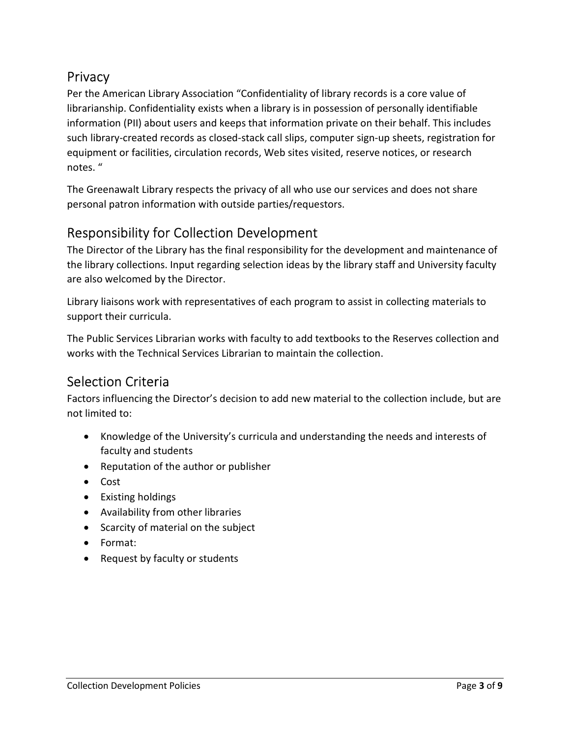## **Privacy**

Per the American Library Association "Confidentiality of library records is a core value of librarianship. Confidentiality exists when a library is in possession of personally identifiable information (PII) about users and keeps that information private on their behalf. This includes such library-created records as closed-stack call slips, computer sign-up sheets, registration for equipment or facilities, circulation records, Web sites visited, reserve notices, or research notes. "

The Greenawalt Library respects the privacy of all who use our services and does not share personal patron information with outside parties/requestors.

## Responsibility for Collection Development

The Director of the Library has the final responsibility for the development and maintenance of the library collections. Input regarding selection ideas by the library staff and University faculty are also welcomed by the Director.

Library liaisons work with representatives of each program to assist in collecting materials to support their curricula.

The Public Services Librarian works with faculty to add textbooks to the Reserves collection and works with the Technical Services Librarian to maintain the collection.

## Selection Criteria

Factors influencing the Director's decision to add new material to the collection include, but are not limited to:

- Knowledge of the University's curricula and understanding the needs and interests of faculty and students
- Reputation of the author or publisher
- Cost
- Existing holdings
- Availability from other libraries
- Scarcity of material on the subject
- Format:
- Request by faculty or students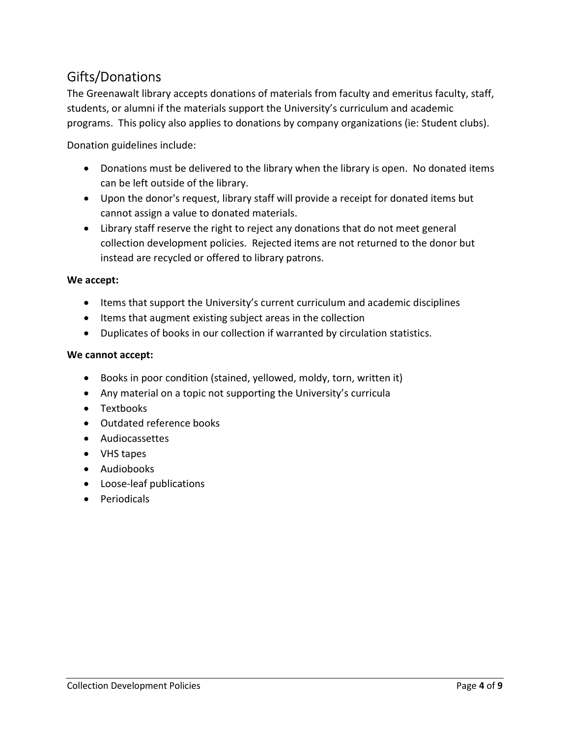## Gifts/Donations

The Greenawalt library accepts donations of materials from faculty and emeritus faculty, staff, students, or alumni if the materials support the University's curriculum and academic programs. This policy also applies to donations by company organizations (ie: Student clubs).

Donation guidelines include:

- Donations must be delivered to the library when the library is open. No donated items can be left outside of the library.
- Upon the donor's request, library staff will provide a receipt for donated items but cannot assign a value to donated materials.
- Library staff reserve the right to reject any donations that do not meet general collection development policies. Rejected items are not returned to the donor but instead are recycled or offered to library patrons.

#### We accept:

- Items that support the University's current curriculum and academic disciplines
- Items that augment existing subject areas in the collection
- Duplicates of books in our collection if warranted by circulation statistics.

#### We cannot accept:

- Books in poor condition (stained, yellowed, moldy, torn, written it)
- Any material on a topic not supporting the University's curricula
- Textbooks
- Outdated reference books
- Audiocassettes
- VHS tapes
- Audiobooks
- Loose-leaf publications
- Periodicals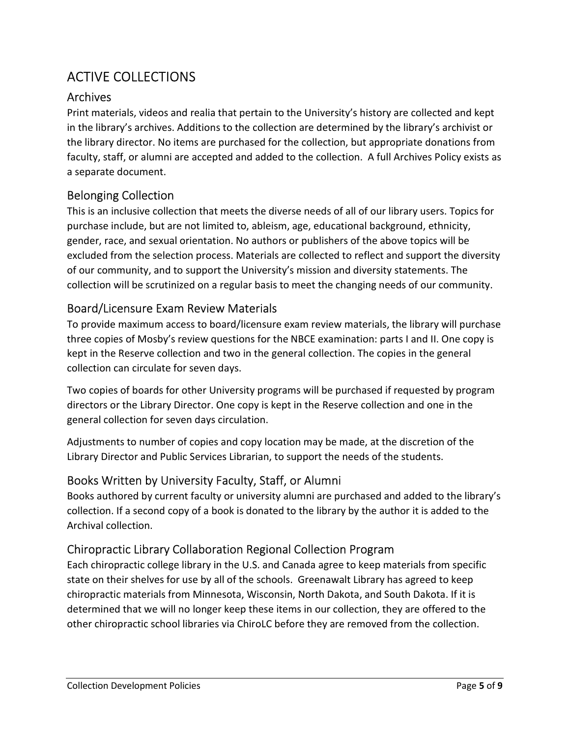# ACTIVE COLLECTIONS

### Archives

Print materials, videos and realia that pertain to the University's history are collected and kept in the library's archives. Additions to the collection are determined by the library's archivist or the library director. No items are purchased for the collection, but appropriate donations from faculty, staff, or alumni are accepted and added to the collection. A full Archives Policy exists as a separate document.

### Belonging Collection

This is an inclusive collection that meets the diverse needs of all of our library users. Topics for purchase include, but are not limited to, ableism, age, educational background, ethnicity, gender, race, and sexual orientation. No authors or publishers of the above topics will be excluded from the selection process. Materials are collected to reflect and support the diversity of our community, and to support the University's mission and diversity statements. The collection will be scrutinized on a regular basis to meet the changing needs of our community.

#### Board/Licensure Exam Review Materials

To provide maximum access to board/licensure exam review materials, the library will purchase three copies of Mosby's review questions for the NBCE examination: parts I and II. One copy is kept in the Reserve collection and two in the general collection. The copies in the general collection can circulate for seven days.

Two copies of boards for other University programs will be purchased if requested by program directors or the Library Director. One copy is kept in the Reserve collection and one in the general collection for seven days circulation.

Adjustments to number of copies and copy location may be made, at the discretion of the Library Director and Public Services Librarian, to support the needs of the students.

## Books Written by University Faculty, Staff, or Alumni

Books authored by current faculty or university alumni are purchased and added to the library's collection. If a second copy of a book is donated to the library by the author it is added to the Archival collection.

## Chiropractic Library Collaboration Regional Collection Program

Each chiropractic college library in the U.S. and Canada agree to keep materials from specific state on their shelves for use by all of the schools. Greenawalt Library has agreed to keep chiropractic materials from Minnesota, Wisconsin, North Dakota, and South Dakota. If it is determined that we will no longer keep these items in our collection, they are offered to the other chiropractic school libraries via ChiroLC before they are removed from the collection.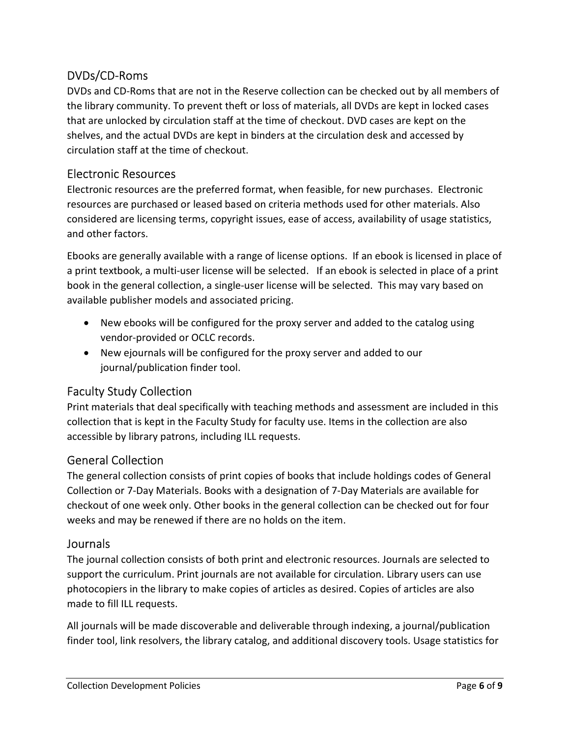#### DVDs/CD-Roms

DVDs and CD-Roms that are not in the Reserve collection can be checked out by all members of the library community. To prevent theft or loss of materials, all DVDs are kept in locked cases that are unlocked by circulation staff at the time of checkout. DVD cases are kept on the shelves, and the actual DVDs are kept in binders at the circulation desk and accessed by circulation staff at the time of checkout.

#### Electronic Resources

Electronic resources are the preferred format, when feasible, for new purchases. Electronic resources are purchased or leased based on criteria methods used for other materials. Also considered are licensing terms, copyright issues, ease of access, availability of usage statistics, and other factors.

Ebooks are generally available with a range of license options. If an ebook is licensed in place of a print textbook, a multi-user license will be selected. If an ebook is selected in place of a print book in the general collection, a single-user license will be selected. This may vary based on available publisher models and associated pricing.

- New ebooks will be configured for the proxy server and added to the catalog using vendor-provided or OCLC records.
- New ejournals will be configured for the proxy server and added to our journal/publication finder tool.

#### Faculty Study Collection

Print materials that deal specifically with teaching methods and assessment are included in this collection that is kept in the Faculty Study for faculty use. Items in the collection are also accessible by library patrons, including ILL requests.

#### General Collection

The general collection consists of print copies of books that include holdings codes of General Collection or 7-Day Materials. Books with a designation of 7-Day Materials are available for checkout of one week only. Other books in the general collection can be checked out for four weeks and may be renewed if there are no holds on the item.

#### Journals

The journal collection consists of both print and electronic resources. Journals are selected to support the curriculum. Print journals are not available for circulation. Library users can use photocopiers in the library to make copies of articles as desired. Copies of articles are also made to fill ILL requests.

All journals will be made discoverable and deliverable through indexing, a journal/publication finder tool, link resolvers, the library catalog, and additional discovery tools. Usage statistics for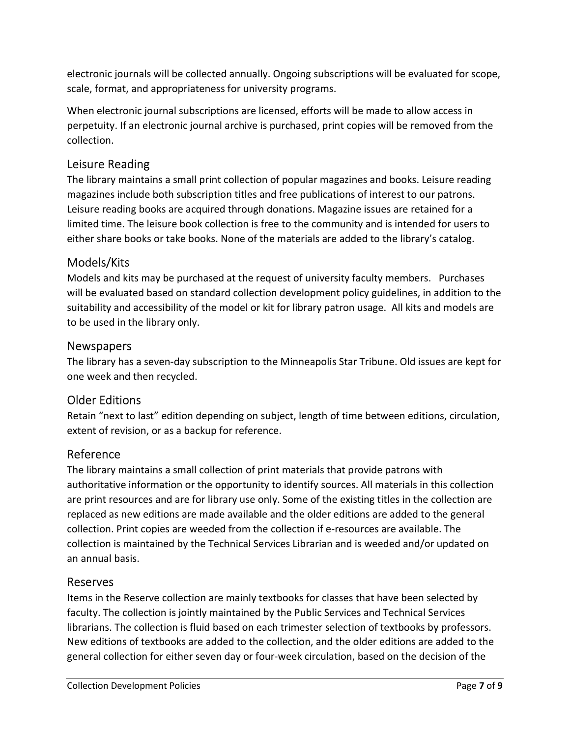electronic journals will be collected annually. Ongoing subscriptions will be evaluated for scope, scale, format, and appropriateness for university programs.

When electronic journal subscriptions are licensed, efforts will be made to allow access in perpetuity. If an electronic journal archive is purchased, print copies will be removed from the collection.

#### Leisure Reading

The library maintains a small print collection of popular magazines and books. Leisure reading magazines include both subscription titles and free publications of interest to our patrons. Leisure reading books are acquired through donations. Magazine issues are retained for a limited time. The leisure book collection is free to the community and is intended for users to either share books or take books. None of the materials are added to the library's catalog.

#### Models/Kits

Models and kits may be purchased at the request of university faculty members. Purchases will be evaluated based on standard collection development policy guidelines, in addition to the suitability and accessibility of the model or kit for library patron usage. All kits and models are to be used in the library only.

#### Newspapers

The library has a seven-day subscription to the Minneapolis Star Tribune. Old issues are kept for one week and then recycled.

#### Older Editions

Retain "next to last" edition depending on subject, length of time between editions, circulation, extent of revision, or as a backup for reference.

#### Reference

The library maintains a small collection of print materials that provide patrons with authoritative information or the opportunity to identify sources. All materials in this collection are print resources and are for library use only. Some of the existing titles in the collection are replaced as new editions are made available and the older editions are added to the general collection. Print copies are weeded from the collection if e-resources are available. The collection is maintained by the Technical Services Librarian and is weeded and/or updated on an annual basis.

#### Reserves

Items in the Reserve collection are mainly textbooks for classes that have been selected by faculty. The collection is jointly maintained by the Public Services and Technical Services librarians. The collection is fluid based on each trimester selection of textbooks by professors. New editions of textbooks are added to the collection, and the older editions are added to the general collection for either seven day or four-week circulation, based on the decision of the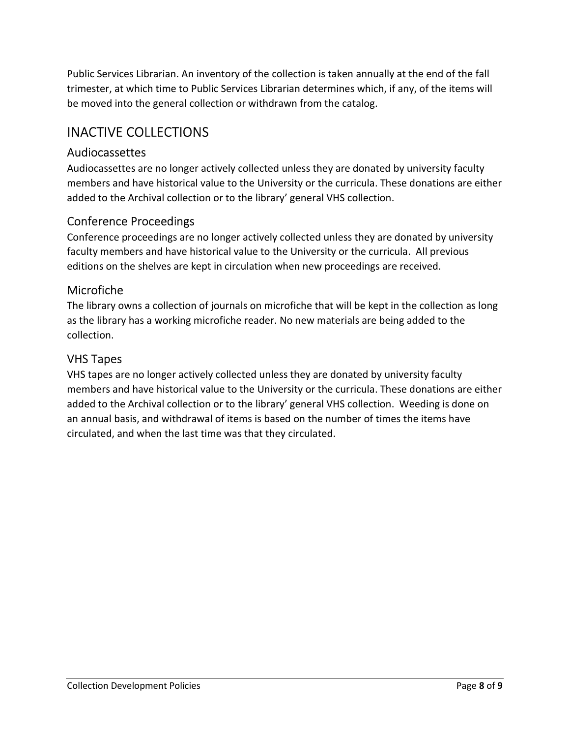Public Services Librarian. An inventory of the collection is taken annually at the end of the fall trimester, at which time to Public Services Librarian determines which, if any, of the items will be moved into the general collection or withdrawn from the catalog.

## INACTIVE COLLECTIONS

#### Audiocassettes

Audiocassettes are no longer actively collected unless they are donated by university faculty members and have historical value to the University or the curricula. These donations are either added to the Archival collection or to the library' general VHS collection.

#### Conference Proceedings

Conference proceedings are no longer actively collected unless they are donated by university faculty members and have historical value to the University or the curricula. All previous editions on the shelves are kept in circulation when new proceedings are received.

#### Microfiche

The library owns a collection of journals on microfiche that will be kept in the collection as long as the library has a working microfiche reader. No new materials are being added to the collection.

#### VHS Tapes

VHS tapes are no longer actively collected unless they are donated by university faculty members and have historical value to the University or the curricula. These donations are either added to the Archival collection or to the library' general VHS collection. Weeding is done on an annual basis, and withdrawal of items is based on the number of times the items have circulated, and when the last time was that they circulated.